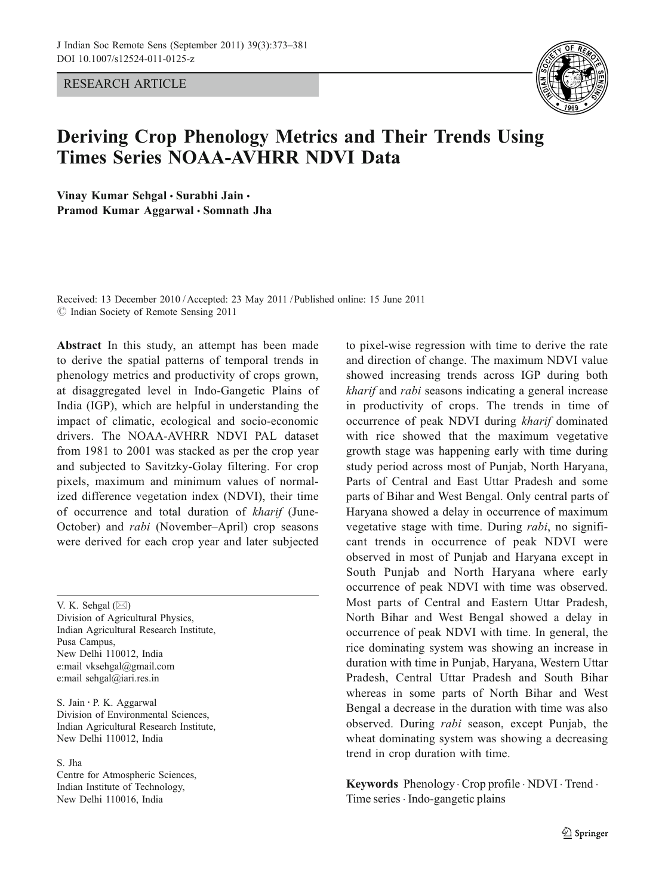RESEARCH ARTICLE



# Deriving Crop Phenology Metrics and Their Trends Using Times Series NOAA-AVHRR NDVI Data

Vinay Kumar Sehgal · Surabhi Jain · Pramod Kumar Aggarwal · Somnath Jha

Received: 13 December 2010 / Accepted: 23 May 2011 / Published online: 15 June 2011  $\oslash$  Indian Society of Remote Sensing 2011

Abstract In this study, an attempt has been made to derive the spatial patterns of temporal trends in phenology metrics and productivity of crops grown, at disaggregated level in Indo-Gangetic Plains of India (IGP), which are helpful in understanding the impact of climatic, ecological and socio-economic drivers. The NOAA-AVHRR NDVI PAL dataset from 1981 to 2001 was stacked as per the crop year and subjected to Savitzky-Golay filtering. For crop pixels, maximum and minimum values of normalized difference vegetation index (NDVI), their time of occurrence and total duration of kharif (June-October) and rabi (November–April) crop seasons were derived for each crop year and later subjected

V. K. Sehgal  $(\boxtimes)$ Division of Agricultural Physics, Indian Agricultural Research Institute, Pusa Campus, New Delhi 110012, India e:mail vksehgal@gmail.com e:mail sehgal@iari.res.in

S. Jain : P. K. Aggarwal Division of Environmental Sciences, Indian Agricultural Research Institute, New Delhi 110012, India

S. Jha

Centre for Atmospheric Sciences, Indian Institute of Technology, New Delhi 110016, India

to pixel-wise regression with time to derive the rate and direction of change. The maximum NDVI value showed increasing trends across IGP during both kharif and rabi seasons indicating a general increase in productivity of crops. The trends in time of occurrence of peak NDVI during kharif dominated with rice showed that the maximum vegetative growth stage was happening early with time during study period across most of Punjab, North Haryana, Parts of Central and East Uttar Pradesh and some parts of Bihar and West Bengal. Only central parts of Haryana showed a delay in occurrence of maximum vegetative stage with time. During rabi, no significant trends in occurrence of peak NDVI were observed in most of Punjab and Haryana except in South Punjab and North Haryana where early occurrence of peak NDVI with time was observed. Most parts of Central and Eastern Uttar Pradesh, North Bihar and West Bengal showed a delay in occurrence of peak NDVI with time. In general, the rice dominating system was showing an increase in duration with time in Punjab, Haryana, Western Uttar Pradesh, Central Uttar Pradesh and South Bihar whereas in some parts of North Bihar and West Bengal a decrease in the duration with time was also observed. During rabi season, except Punjab, the wheat dominating system was showing a decreasing trend in crop duration with time.

Keywords Phenology . Crop profile . NDVI . Trend . Time series . Indo-gangetic plains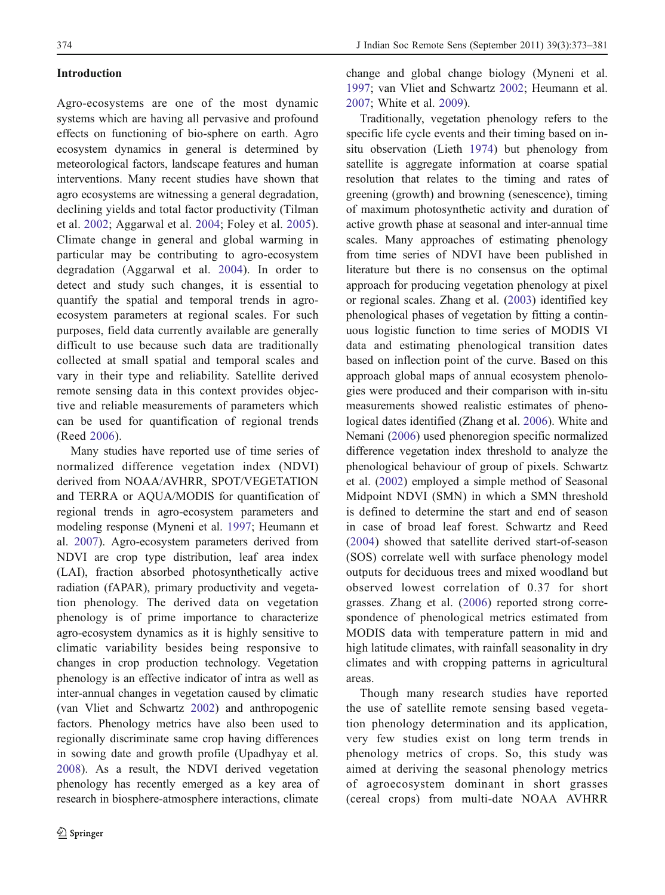# Introduction

Agro-ecosystems are one of the most dynamic systems which are having all pervasive and profound effects on functioning of bio-sphere on earth. Agro ecosystem dynamics in general is determined by meteorological factors, landscape features and human interventions. Many recent studies have shown that agro ecosystems are witnessing a general degradation, declining yields and total factor productivity (Tilman et al. [2002;](#page-8-0) Aggarwal et al. [2004](#page-7-0); Foley et al. [2005](#page-7-0)). Climate change in general and global warming in particular may be contributing to agro-ecosystem degradation (Aggarwal et al. [2004](#page-7-0)). In order to detect and study such changes, it is essential to quantify the spatial and temporal trends in agroecosystem parameters at regional scales. For such purposes, field data currently available are generally difficult to use because such data are traditionally collected at small spatial and temporal scales and vary in their type and reliability. Satellite derived remote sensing data in this context provides objective and reliable measurements of parameters which can be used for quantification of regional trends (Reed [2006\)](#page-7-0).

Many studies have reported use of time series of normalized difference vegetation index (NDVI) derived from NOAA/AVHRR, SPOT/VEGETATION and TERRA or AQUA/MODIS for quantification of regional trends in agro-ecosystem parameters and modeling response (Myneni et al. [1997;](#page-7-0) Heumann et al. [2007](#page-7-0)). Agro-ecosystem parameters derived from NDVI are crop type distribution, leaf area index (LAI), fraction absorbed photosynthetically active radiation (fAPAR), primary productivity and vegetation phenology. The derived data on vegetation phenology is of prime importance to characterize agro-ecosystem dynamics as it is highly sensitive to climatic variability besides being responsive to changes in crop production technology. Vegetation phenology is an effective indicator of intra as well as inter-annual changes in vegetation caused by climatic (van Vliet and Schwartz [2002\)](#page-8-0) and anthropogenic factors. Phenology metrics have also been used to regionally discriminate same crop having differences in sowing date and growth profile (Upadhyay et al. [2008\)](#page-8-0). As a result, the NDVI derived vegetation phenology has recently emerged as a key area of research in biosphere-atmosphere interactions, climate

change and global change biology (Myneni et al. [1997;](#page-7-0) van Vliet and Schwartz [2002](#page-8-0); Heumann et al. [2007;](#page-7-0) White et al. [2009](#page-8-0)).

Traditionally, vegetation phenology refers to the specific life cycle events and their timing based on insitu observation (Lieth [1974](#page-7-0)) but phenology from satellite is aggregate information at coarse spatial resolution that relates to the timing and rates of greening (growth) and browning (senescence), timing of maximum photosynthetic activity and duration of active growth phase at seasonal and inter-annual time scales. Many approaches of estimating phenology from time series of NDVI have been published in literature but there is no consensus on the optimal approach for producing vegetation phenology at pixel or regional scales. Zhang et al. ([2003\)](#page-8-0) identified key phenological phases of vegetation by fitting a continuous logistic function to time series of MODIS VI data and estimating phenological transition dates based on inflection point of the curve. Based on this approach global maps of annual ecosystem phenologies were produced and their comparison with in-situ measurements showed realistic estimates of phenological dates identified (Zhang et al. [2006\)](#page-8-0). White and Nemani [\(2006](#page-8-0)) used phenoregion specific normalized difference vegetation index threshold to analyze the phenological behaviour of group of pixels. Schwartz et al. [\(2002](#page-7-0)) employed a simple method of Seasonal Midpoint NDVI (SMN) in which a SMN threshold is defined to determine the start and end of season in case of broad leaf forest. Schwartz and Reed [\(2004\)](#page-7-0) showed that satellite derived start-of-season (SOS) correlate well with surface phenology model outputs for deciduous trees and mixed woodland but observed lowest correlation of 0.37 for short grasses. Zhang et al. ([2006](#page-8-0)) reported strong correspondence of phenological metrics estimated from MODIS data with temperature pattern in mid and high latitude climates, with rainfall seasonality in dry climates and with cropping patterns in agricultural areas.

Though many research studies have reported the use of satellite remote sensing based vegetation phenology determination and its application, very few studies exist on long term trends in phenology metrics of crops. So, this study was aimed at deriving the seasonal phenology metrics of agroecosystem dominant in short grasses (cereal crops) from multi-date NOAA AVHRR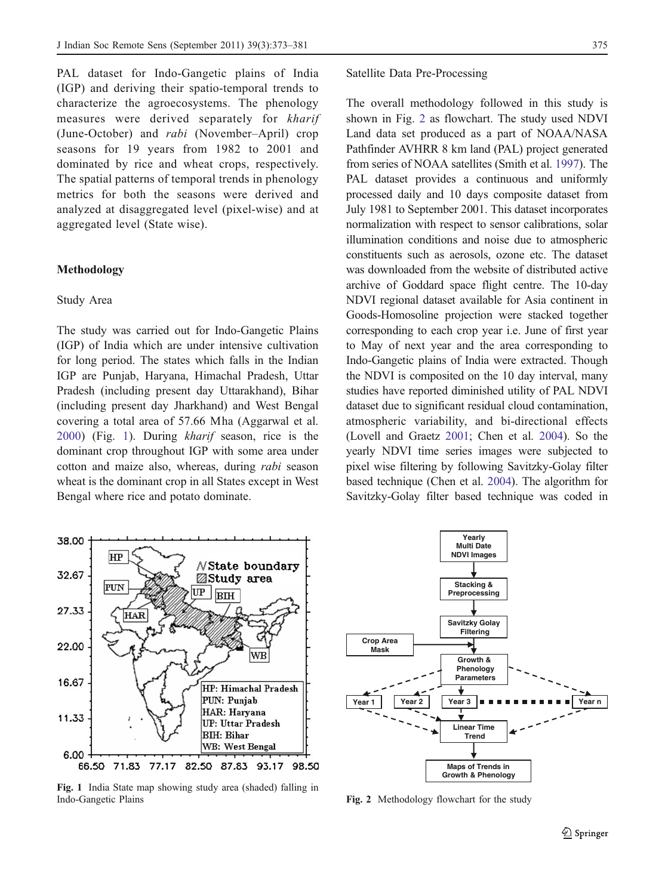PAL dataset for Indo-Gangetic plains of India (IGP) and deriving their spatio-temporal trends to characterize the agroecosystems. The phenology measures were derived separately for kharif (June-October) and rabi (November–April) crop seasons for 19 years from 1982 to 2001 and dominated by rice and wheat crops, respectively. The spatial patterns of temporal trends in phenology metrics for both the seasons were derived and analyzed at disaggregated level (pixel-wise) and at aggregated level (State wise).

## Methodology

#### Study Area

The study was carried out for Indo-Gangetic Plains (IGP) of India which are under intensive cultivation for long period. The states which falls in the Indian IGP are Punjab, Haryana, Himachal Pradesh, Uttar Pradesh (including present day Uttarakhand), Bihar (including present day Jharkhand) and West Bengal covering a total area of 57.66 Mha (Aggarwal et al. [2000\)](#page-7-0) (Fig. 1). During kharif season, rice is the dominant crop throughout IGP with some area under cotton and maize also, whereas, during rabi season wheat is the dominant crop in all States except in West Bengal where rice and potato dominate.

#### Satellite Data Pre-Processing

The overall methodology followed in this study is shown in Fig. 2 as flowchart. The study used NDVI Land data set produced as a part of NOAA/NASA Pathfinder AVHRR 8 km land (PAL) project generated from series of NOAA satellites (Smith et al. [1997\)](#page-7-0). The PAL dataset provides a continuous and uniformly processed daily and 10 days composite dataset from July 1981 to September 2001. This dataset incorporates normalization with respect to sensor calibrations, solar illumination conditions and noise due to atmospheric constituents such as aerosols, ozone etc. The dataset was downloaded from the website of distributed active archive of Goddard space flight centre. The 10-day NDVI regional dataset available for Asia continent in Goods-Homosoline projection were stacked together corresponding to each crop year i.e. June of first year to May of next year and the area corresponding to Indo-Gangetic plains of India were extracted. Though the NDVI is composited on the 10 day interval, many studies have reported diminished utility of PAL NDVI dataset due to significant residual cloud contamination, atmospheric variability, and bi-directional effects (Lovell and Graetz [2001](#page-7-0); Chen et al. [2004](#page-7-0)). So the yearly NDVI time series images were subjected to pixel wise filtering by following Savitzky-Golay filter based technique (Chen et al. [2004\)](#page-7-0). The algorithm for Savitzky-Golay filter based technique was coded in



Fig. 1 India State map showing study area (shaded) falling in Indo-Gangetic Plains



Fig. 2 Methodology flowchart for the study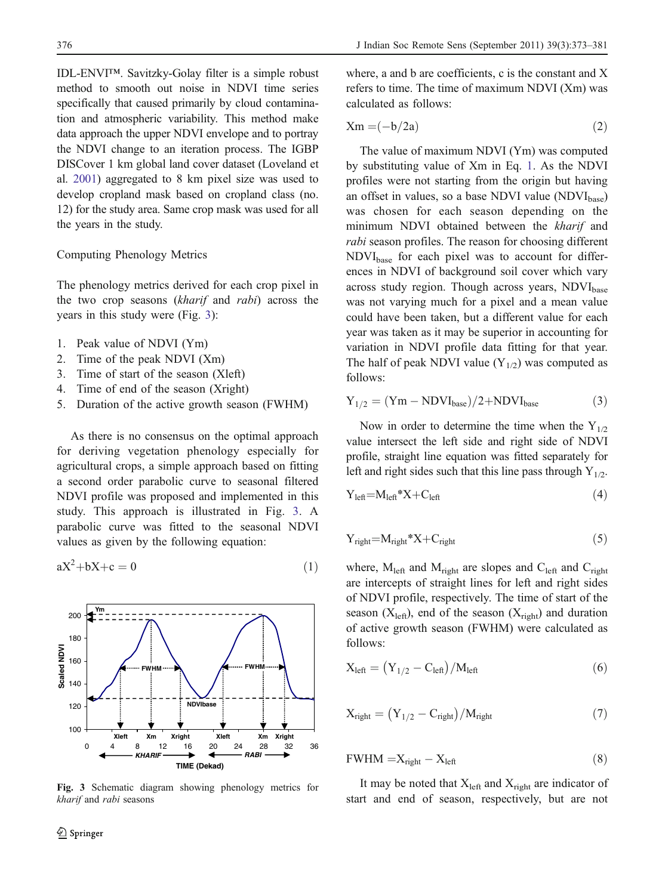IDL-ENVI™. Savitzky-Golay filter is a simple robust method to smooth out noise in NDVI time series specifically that caused primarily by cloud contamination and atmospheric variability. This method make data approach the upper NDVI envelope and to portray the NDVI change to an iteration process. The IGBP DISCover 1 km global land cover dataset (Loveland et al. [2001\)](#page-7-0) aggregated to 8 km pixel size was used to develop cropland mask based on cropland class (no. 12) for the study area. Same crop mask was used for all the years in the study.

### Computing Phenology Metrics

The phenology metrics derived for each crop pixel in the two crop seasons (kharif and rabi) across the years in this study were (Fig. 3):

- 1. Peak value of NDVI (Ym)
- 2. Time of the peak NDVI (Xm)
- 3. Time of start of the season (Xleft)
- 4. Time of end of the season (Xright)
- 5. Duration of the active growth season (FWHM)

As there is no consensus on the optimal approach for deriving vegetation phenology especially for agricultural crops, a simple approach based on fitting a second order parabolic curve to seasonal filtered NDVI profile was proposed and implemented in this study. This approach is illustrated in Fig. 3. A parabolic curve was fitted to the seasonal NDVI values as given by the following equation:

$$
aX^2 + bX + c = 0 \tag{1}
$$



Fig. 3 Schematic diagram showing phenology metrics for kharif and rabi seasons

where, a and b are coefficients, c is the constant and X refers to time. The time of maximum NDVI (Xm) was calculated as follows:

 $Xm = (-b/2a)$  $b/2a)$  (2)

The value of maximum NDVI (Ym) was computed by substituting value of Xm in Eq. 1. As the NDVI profiles were not starting from the origin but having an offset in values, so a base NDVI value  $(NDVI<sub>base</sub>)$ was chosen for each season depending on the minimum NDVI obtained between the *kharif* and rabi season profiles. The reason for choosing different NDVIbase for each pixel was to account for differences in NDVI of background soil cover which vary across study region. Though across years, NDVI<sub>base</sub> was not varying much for a pixel and a mean value could have been taken, but a different value for each year was taken as it may be superior in accounting for variation in NDVI profile data fitting for that year. The half of peak NDVI value  $(Y_{1/2})$  was computed as follows:

$$
Y_{1/2} = (Ym - NDVI_{base})/2 + NDVI_{base}
$$
 (3)

Now in order to determine the time when the  $Y_{1/2}$ value intersect the left side and right side of NDVI profile, straight line equation was fitted separately for left and right sides such that this line pass through  $Y_{1/2}$ .

$$
Y_{\text{left}} = M_{\text{left}} \cdot X + C_{\text{left}} \tag{4}
$$

$$
Y_{\text{right}} = M_{\text{right}} * X + C_{\text{right}} \tag{5}
$$

where,  $M_{\text{left}}$  and  $M_{\text{right}}$  are slopes and  $C_{\text{left}}$  and  $C_{\text{right}}$ are intercepts of straight lines for left and right sides of NDVI profile, respectively. The time of start of the season ( $X_{\text{left}}$ ), end of the season ( $X_{\text{right}}$ ) and duration of active growth season (FWHM) were calculated as follows:

$$
X_{\text{left}} = (Y_{1/2} - C_{\text{left}}) / M_{\text{left}} \tag{6}
$$

$$
X_{right} = (Y_{1/2} - C_{right})/M_{right}
$$
 (7)

$$
FWHM = X_{right} - X_{left}
$$
 (8)

It may be noted that  $X_{\text{left}}$  and  $X_{\text{right}}$  are indicator of start and end of season, respectively, but are not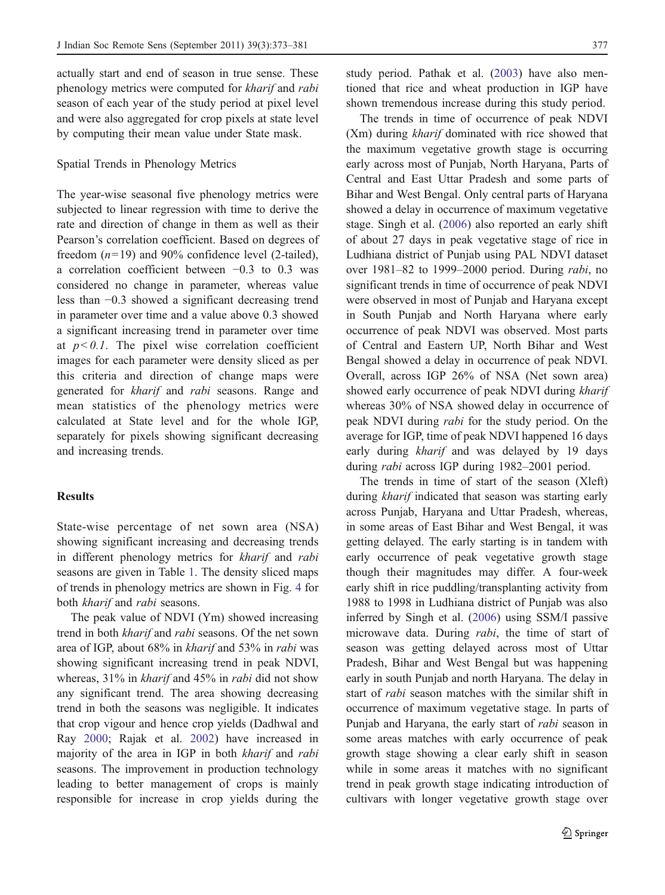actually start and end of season in true sense. These phenology metrics were computed for kharif and rabi season of each year of the study period at pixel level and were also aggregated for crop pixels at state level by computing their mean value under State mask.

## Spatial Trends in Phenology Metrics

The year-wise seasonal five phenology metrics were subjected to linear regression with time to derive the rate and direction of change in them as well as their Pearson's correlation coefficient. Based on degrees of freedom  $(n=19)$  and 90% confidence level (2-tailed), a correlation coefficient between −0.3 to 0.3 was considered no change in parameter, whereas value less than −0.3 showed a significant decreasing trend in parameter over time and a value above 0.3 showed a significant increasing trend in parameter over time at  $p < 0.1$ . The pixel wise correlation coefficient images for each parameter were density sliced as per this criteria and direction of change maps were generated for kharif and rabi seasons. Range and mean statistics of the phenology metrics were calculated at State level and for the whole IGP, separately for pixels showing significant decreasing and increasing trends.

# **Results**

State-wise percentage of net sown area (NSA) showing significant increasing and decreasing trends in different phenology metrics for kharif and rabi seasons are given in Table [1](#page-5-0). The density sliced maps of trends in phenology metrics are shown in Fig. [4](#page-5-0) for both kharif and rabi seasons.

The peak value of NDVI (Ym) showed increasing trend in both kharif and rabi seasons. Of the net sown area of IGP, about 68% in kharif and 53% in rabi was showing significant increasing trend in peak NDVI, whereas, 31% in kharif and 45% in rabi did not show any significant trend. The area showing decreasing trend in both the seasons was negligible. It indicates that crop vigour and hence crop yields (Dadhwal and Ray [2000](#page-7-0); Rajak et al. [2002\)](#page-7-0) have increased in majority of the area in IGP in both kharif and rabi seasons. The improvement in production technology leading to better management of crops is mainly responsible for increase in crop yields during the study period. Pathak et al. ([2003\)](#page-7-0) have also mentioned that rice and wheat production in IGP have shown tremendous increase during this study period.

The trends in time of occurrence of peak NDVI (Xm) during kharif dominated with rice showed that the maximum vegetative growth stage is occurring early across most of Punjab, North Haryana, Parts of Central and East Uttar Pradesh and some parts of Bihar and West Bengal. Only central parts of Haryana showed a delay in occurrence of maximum vegetative stage. Singh et al. ([2006\)](#page-7-0) also reported an early shift of about 27 days in peak vegetative stage of rice in Ludhiana district of Punjab using PAL NDVI dataset over 1981–82 to 1999–2000 period. During rabi, no significant trends in time of occurrence of peak NDVI were observed in most of Punjab and Haryana except in South Punjab and North Haryana where early occurrence of peak NDVI was observed. Most parts of Central and Eastern UP, North Bihar and West Bengal showed a delay in occurrence of peak NDVI. Overall, across IGP 26% of NSA (Net sown area) showed early occurrence of peak NDVI during kharif whereas 30% of NSA showed delay in occurrence of peak NDVI during rabi for the study period. On the average for IGP, time of peak NDVI happened 16 days early during kharif and was delayed by 19 days during rabi across IGP during 1982–2001 period.

The trends in time of start of the season (Xleft) during kharif indicated that season was starting early across Punjab, Haryana and Uttar Pradesh, whereas, in some areas of East Bihar and West Bengal, it was getting delayed. The early starting is in tandem with early occurrence of peak vegetative growth stage though their magnitudes may differ. A four-week early shift in rice puddling/transplanting activity from 1988 to 1998 in Ludhiana district of Punjab was also inferred by Singh et al. ([2006\)](#page-7-0) using SSM/I passive microwave data. During rabi, the time of start of season was getting delayed across most of Uttar Pradesh, Bihar and West Bengal but was happening early in south Punjab and north Haryana. The delay in start of rabi season matches with the similar shift in occurrence of maximum vegetative stage. In parts of Punjab and Haryana, the early start of rabi season in some areas matches with early occurrence of peak growth stage showing a clear early shift in season while in some areas it matches with no significant trend in peak growth stage indicating introduction of cultivars with longer vegetative growth stage over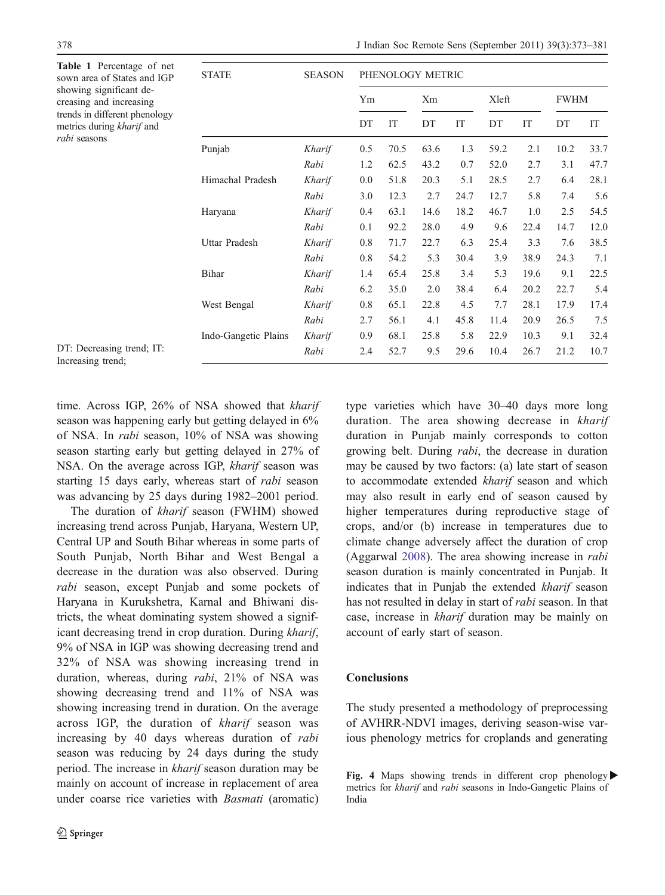<span id="page-5-0"></span>Table 1 Percentage of net sown area of States and IGP showing significant decreasing and increasing trends in different phenology metrics during kharif and rabi seasons

| <b>STATE</b>         | <b>SEASON</b> | PHENOLOGY METRIC |      |      |      |       |      |             |      |
|----------------------|---------------|------------------|------|------|------|-------|------|-------------|------|
|                      |               | Υm               |      | Xm   |      | Xleft |      | <b>FWHM</b> |      |
|                      |               | DT               | IT   | DT   | IT   | DT    | IT   | DT          | IT   |
| Punjab               | Kharif        | 0.5              | 70.5 | 63.6 | 1.3  | 59.2  | 2.1  | 10.2        | 33.7 |
|                      | Rabi          | 1.2              | 62.5 | 43.2 | 0.7  | 52.0  | 2.7  | 3.1         | 47.7 |
| Himachal Pradesh     | Kharif        | 0.0              | 51.8 | 20.3 | 5.1  | 28.5  | 2.7  | 6.4         | 28.1 |
|                      | Rabi          | 3.0              | 12.3 | 2.7  | 24.7 | 12.7  | 5.8  | 7.4         | 5.6  |
| Haryana              | Kharif        | 0.4              | 63.1 | 14.6 | 18.2 | 46.7  | 1.0  | 2.5         | 54.5 |
|                      | Rabi          | 0.1              | 92.2 | 28.0 | 4.9  | 9.6   | 22.4 | 14.7        | 12.0 |
| Uttar Pradesh        | Kharif        | 0.8              | 71.7 | 22.7 | 6.3  | 25.4  | 3.3  | 7.6         | 38.5 |
|                      | Rabi          | 0.8              | 54.2 | 5.3  | 30.4 | 3.9   | 38.9 | 24.3        | 7.1  |
| Bihar                | Kharif        | 1.4              | 65.4 | 25.8 | 3.4  | 5.3   | 19.6 | 9.1         | 22.5 |
|                      | Rabi          | 6.2              | 35.0 | 2.0  | 38.4 | 6.4   | 20.2 | 22.7        | 5.4  |
| West Bengal          | Kharif        | 0.8              | 65.1 | 22.8 | 4.5  | 7.7   | 28.1 | 17.9        | 17.4 |
|                      | Rabi          | 2.7              | 56.1 | 4.1  | 45.8 | 11.4  | 20.9 | 26.5        | 7.5  |
| Indo-Gangetic Plains | Kharif        | 0.9              | 68.1 | 25.8 | 5.8  | 22.9  | 10.3 | 9.1         | 32.4 |
|                      | Rabi          | 2.4              | 52.7 | 9.5  | 29.6 | 10.4  | 26.7 | 21.2        | 10.7 |

DT: Decreasing trend; IT: Increasing trend;

time. Across IGP, 26% of NSA showed that kharif season was happening early but getting delayed in 6% of NSA. In rabi season, 10% of NSA was showing season starting early but getting delayed in 27% of NSA. On the average across IGP, kharif season was starting 15 days early, whereas start of *rabi* season was advancing by 25 days during 1982–2001 period.

The duration of kharif season (FWHM) showed increasing trend across Punjab, Haryana, Western UP, Central UP and South Bihar whereas in some parts of South Punjab, North Bihar and West Bengal a decrease in the duration was also observed. During rabi season, except Punjab and some pockets of Haryana in Kurukshetra, Karnal and Bhiwani districts, the wheat dominating system showed a significant decreasing trend in crop duration. During kharif, 9% of NSA in IGP was showing decreasing trend and 32% of NSA was showing increasing trend in duration, whereas, during rabi, 21% of NSA was showing decreasing trend and 11% of NSA was showing increasing trend in duration. On the average across IGP, the duration of kharif season was increasing by 40 days whereas duration of rabi season was reducing by 24 days during the study period. The increase in kharif season duration may be mainly on account of increase in replacement of area under coarse rice varieties with Basmati (aromatic) type varieties which have 30–40 days more long duration. The area showing decrease in kharif duration in Punjab mainly corresponds to cotton growing belt. During rabi, the decrease in duration may be caused by two factors: (a) late start of season to accommodate extended kharif season and which may also result in early end of season caused by higher temperatures during reproductive stage of crops, and/or (b) increase in temperatures due to climate change adversely affect the duration of crop (Aggarwal [2008\)](#page-7-0). The area showing increase in rabi season duration is mainly concentrated in Punjab. It indicates that in Punjab the extended kharif season has not resulted in delay in start of rabi season. In that case, increase in kharif duration may be mainly on account of early start of season.

## **Conclusions**

The study presented a methodology of preprocessing of AVHRR-NDVI images, deriving season-wise various phenology metrics for croplands and generating

Fig. 4 Maps showing trends in different crop phenology metrics for kharif and rabi seasons in Indo-Gangetic Plains of India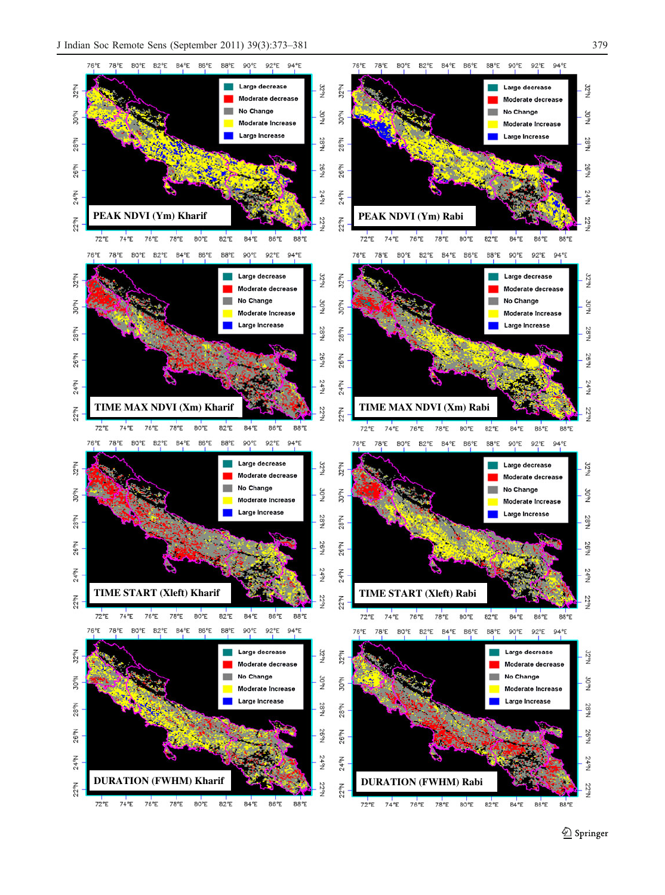

2 Springer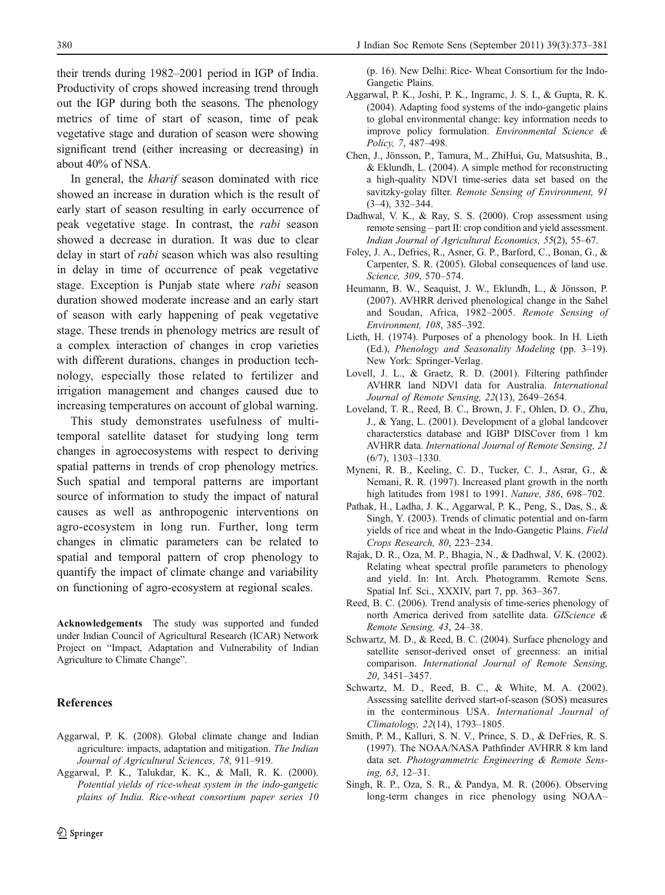<span id="page-7-0"></span>their trends during 1982–2001 period in IGP of India. Productivity of crops showed increasing trend through out the IGP during both the seasons. The phenology metrics of time of start of season, time of peak vegetative stage and duration of season were showing significant trend (either increasing or decreasing) in about 40% of NSA.

In general, the kharif season dominated with rice showed an increase in duration which is the result of early start of season resulting in early occurrence of peak vegetative stage. In contrast, the rabi season showed a decrease in duration. It was due to clear delay in start of rabi season which was also resulting in delay in time of occurrence of peak vegetative stage. Exception is Punjab state where rabi season duration showed moderate increase and an early start of season with early happening of peak vegetative stage. These trends in phenology metrics are result of a complex interaction of changes in crop varieties with different durations, changes in production technology, especially those related to fertilizer and irrigation management and changes caused due to increasing temperatures on account of global warning.

This study demonstrates usefulness of multitemporal satellite dataset for studying long term changes in agroecosystems with respect to deriving spatial patterns in trends of crop phenology metrics. Such spatial and temporal patterns are important source of information to study the impact of natural causes as well as anthropogenic interventions on agro-ecosystem in long run. Further, long term changes in climatic parameters can be related to spatial and temporal pattern of crop phenology to quantify the impact of climate change and variability on functioning of agro-ecosystem at regional scales.

Acknowledgements The study was supported and funded under Indian Council of Agricultural Research (ICAR) Network Project on "Impact, Adaptation and Vulnerability of Indian Agriculture to Climate Change".

## References

- Aggarwal, P. K. (2008). Global climate change and Indian agriculture: impacts, adaptation and mitigation. The Indian Journal of Agricultural Sciences, 78, 911–919.
- Aggarwal, P. K., Talukdar, K. K., & Mall, R. K. (2000). Potential yields of rice-wheat system in the indo-gangetic plains of India. Rice-wheat consortium paper series 10

(p. 16). New Delhi: Rice- Wheat Consortium for the Indo-Gangetic Plains.

- Aggarwal, P. K., Joshi, P. K., Ingramc, J. S. I., & Gupta, R. K. (2004). Adapting food systems of the indo-gangetic plains to global environmental change: key information needs to improve policy formulation. Environmental Science & Policy, 7, 487–498.
- Chen, J., Jönsson, P., Tamura, M., ZhiHui, Gu, Matsushita, B., & Eklundh, L. (2004). A simple method for reconstructing a high-quality NDVI time-series data set based on the savitzky-golay filter. Remote Sensing of Environment, 91 (3–4), 332–344.
- Dadhwal, V. K., & Ray, S. S. (2000). Crop assessment using remote sensing – part II: crop condition and yield assessment. Indian Journal of Agricultural Economics, 55(2), 55–67.
- Foley, J. A., Defries, R., Asner, G. P., Barford, C., Bonan, G., & Carpenter, S. R. (2005). Global consequences of land use. Science, 309, 570–574.
- Heumann, B. W., Seaquist, J. W., Eklundh, L., & Jönsson, P. (2007). AVHRR derived phenological change in the Sahel and Soudan, Africa, 1982–2005. Remote Sensing of Environment, 108, 385–392.
- Lieth, H. (1974). Purposes of a phenology book. In H. Lieth (Ed.), Phenology and Seasonality Modeling (pp. 3–19). New York: Springer-Verlag.
- Lovell, J. L., & Graetz, R. D. (2001). Filtering pathfinder AVHRR land NDVI data for Australia. International Journal of Remote Sensing, 22(13), 2649–2654.
- Loveland, T. R., Reed, B. C., Brown, J. F., Ohlen, D. O., Zhu, J., & Yang, L. (2001). Development of a global landcover characterstics database and IGBP DISCover from 1 km AVHRR data. International Journal of Remote Sensing, 21 (6/7), 1303–1330.
- Myneni, R. B., Keeling, C. D., Tucker, C. J., Asrar, G., & Nemani, R. R. (1997). Increased plant growth in the north high latitudes from 1981 to 1991. Nature, 386, 698–702.
- Pathak, H., Ladha, J. K., Aggarwal, P. K., Peng, S., Das, S., & Singh, Y. (2003). Trends of climatic potential and on-farm yields of rice and wheat in the Indo-Gangetic Plains. Field Crops Research, 80, 223–234.
- Rajak, D. R., Oza, M. P., Bhagia, N., & Dadhwal, V. K. (2002). Relating wheat spectral profile parameters to phenology and yield. In: Int. Arch. Photogramm. Remote Sens. Spatial Inf. Sci., XXXIV, part 7, pp. 363–367.
- Reed, B. C. (2006). Trend analysis of time-series phenology of north America derived from satellite data. GIScience & Remote Sensing, 43, 24–38.
- Schwartz, M. D., & Reed, B. C. (2004). Surface phenology and satellite sensor-derived onset of greenness: an initial comparison. International Journal of Remote Sensing, 20, 3451–3457.
- Schwartz, M. D., Reed, B. C., & White, M. A. (2002). Assessing satellite derived start-of-season (SOS) measures in the conterminous USA. International Journal of Climatology, 22(14), 1793–1805.
- Smith, P. M., Kalluri, S. N. V., Prince, S. D., & DeFries, R. S. (1997). The NOAA/NASA Pathfinder AVHRR 8 km land data set. Photogrammetric Engineering & Remote Sensing, 63, 12–31.
- Singh, R. P., Oza, S. R., & Pandya, M. R. (2006). Observing long-term changes in rice phenology using NOAA–